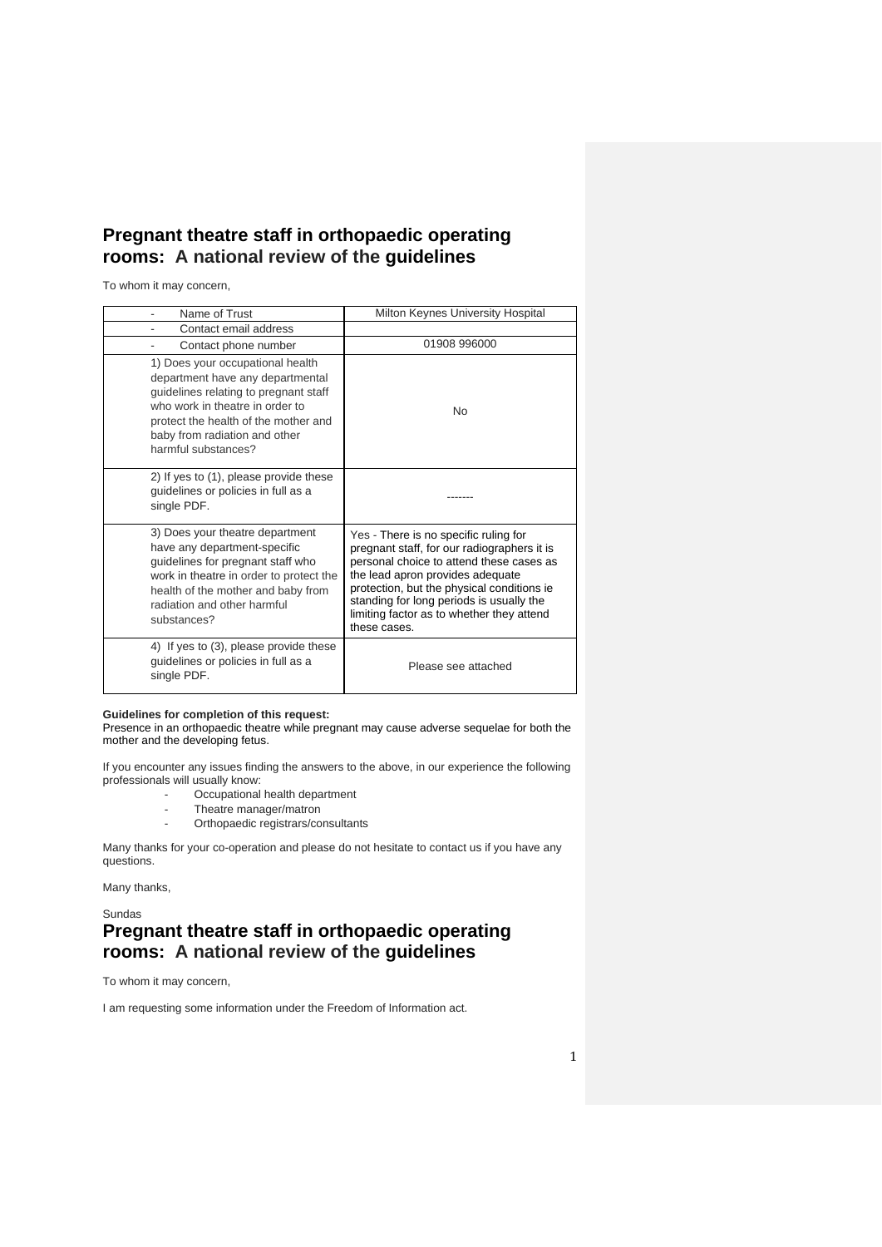## **Pregnant theatre staff in orthopaedic operating rooms: A national review of the guidelines**

To whom it may concern,

| Name of Trust                                                                                                                                                                                                                                    | Milton Keynes University Hospital                                                                                                                                                                                                                                                                                           |
|--------------------------------------------------------------------------------------------------------------------------------------------------------------------------------------------------------------------------------------------------|-----------------------------------------------------------------------------------------------------------------------------------------------------------------------------------------------------------------------------------------------------------------------------------------------------------------------------|
| Contact email address                                                                                                                                                                                                                            |                                                                                                                                                                                                                                                                                                                             |
| Contact phone number                                                                                                                                                                                                                             | 01908 996000                                                                                                                                                                                                                                                                                                                |
| 1) Does your occupational health<br>department have any departmental<br>guidelines relating to pregnant staff<br>who work in theatre in order to<br>protect the health of the mother and<br>baby from radiation and other<br>harmful substances? | No                                                                                                                                                                                                                                                                                                                          |
| 2) If yes to (1), please provide these<br>guidelines or policies in full as a<br>single PDF.                                                                                                                                                     |                                                                                                                                                                                                                                                                                                                             |
| 3) Does your theatre department<br>have any department-specific<br>guidelines for pregnant staff who<br>work in theatre in order to protect the<br>health of the mother and baby from<br>radiation and other harmful<br>substances?              | Yes - There is no specific ruling for<br>pregnant staff, for our radiographers it is<br>personal choice to attend these cases as<br>the lead apron provides adequate<br>protection, but the physical conditions ie<br>standing for long periods is usually the<br>limiting factor as to whether they attend<br>these cases. |
| 4) If yes to (3), please provide these<br>guidelines or policies in full as a<br>single PDF.                                                                                                                                                     | Please see attached                                                                                                                                                                                                                                                                                                         |

## **Guidelines for completion of this request:**

Presence in an orthopaedic theatre while pregnant may cause adverse sequelae for both the mother and the developing fetus.

If you encounter any issues finding the answers to the above, in our experience the following professionals will usually know:

- Occupational health department
- Theatre manager/matron<br>- Orthopaedic registrars/co
- Orthopaedic registrars/consultants

Many thanks for your co-operation and please do not hesitate to contact us if you have any questions.

Many thanks,

Sundas

## **Pregnant theatre staff in orthopaedic operating rooms: A national review of the guidelines**

To whom it may concern,

I am requesting some information under the Freedom of Information act.